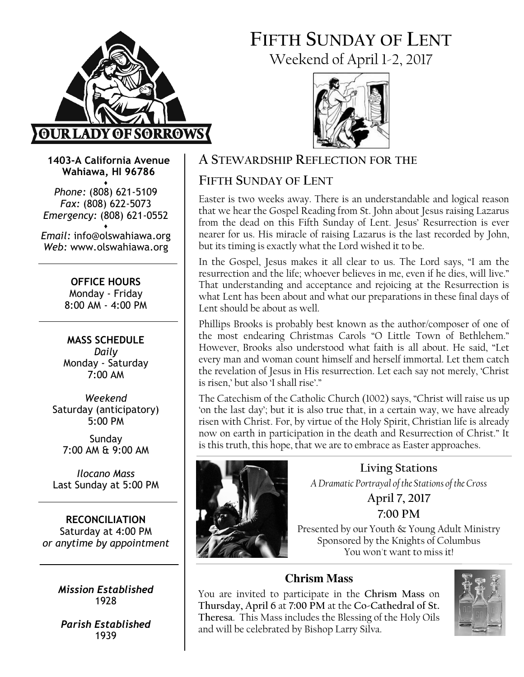

# FIFTH SUNDAY OF LENT Weekend of April 1-2, 2017



1403-A California Avenue Wahiawa, HI 96786

♦ Phone: (808) 621-5109 Fax: (808) 622-5073 Emergency: (808) 621-0552 ♦

Email: info@olswahiawa.org Web: www.olswahiawa.org

> OFFICE HOURS Monday - Friday 8:00 AM - 4:00 PM

MASS SCHEDULE Daily Monday - Saturday 7:00 AM

Weekend Saturday (anticipatory) 5:00 PM

Sunday 7:00 AM & 9:00 AM

Ilocano Mass Last Sunday at 5:00 PM

RECONCILIATION Saturday at 4:00 PM or anytime by appointment

> Mission Established 1928

Parish Established 1939

# A STEWARDSHIP REFLECTION FOR THE

# FIFTH SUNDAY OF LENT

Easter is two weeks away. There is an understandable and logical reason that we hear the Gospel Reading from St. John about Jesus raising Lazarus from the dead on this Fifth Sunday of Lent. Jesus' Resurrection is ever nearer for us. His miracle of raising Lazarus is the last recorded by John, but its timing is exactly what the Lord wished it to be.

In the Gospel, Jesus makes it all clear to us. The Lord says, "I am the resurrection and the life; whoever believes in me, even if he dies, will live." That understanding and acceptance and rejoicing at the Resurrection is what Lent has been about and what our preparations in these final days of Lent should be about as well.

Phillips Brooks is probably best known as the author/composer of one of the most endearing Christmas Carols "O Little Town of Bethlehem." However, Brooks also understood what faith is all about. He said, "Let every man and woman count himself and herself immortal. Let them catch the revelation of Jesus in His resurrection. Let each say not merely, 'Christ is risen,' but also 'I shall rise'."

The Catechism of the Catholic Church (1002) says, "Christ will raise us up 'on the last day'; but it is also true that, in a certain way, we have already risen with Christ. For, by virtue of the Holy Spirit, Christian life is already now on earth in participation in the death and Resurrection of Christ." It is this truth, this hope, that we are to embrace as Easter approaches.



Living Stations A Dramatic Portrayal of the Stations of the Cross April 7, 2017 7:00 PM Presented by our Youth & Young Adult Ministry Sponsored by the Knights of Columbus

You won't want to miss it!

# **Chrism Mass**

You are invited to participate in the Chrism Mass on Thursday, April 6 at 7:00 PM at the Co-Cathedral of St. Theresa. This Mass includes the Blessing of the Holy Oils and will be celebrated by Bishop Larry Silva.

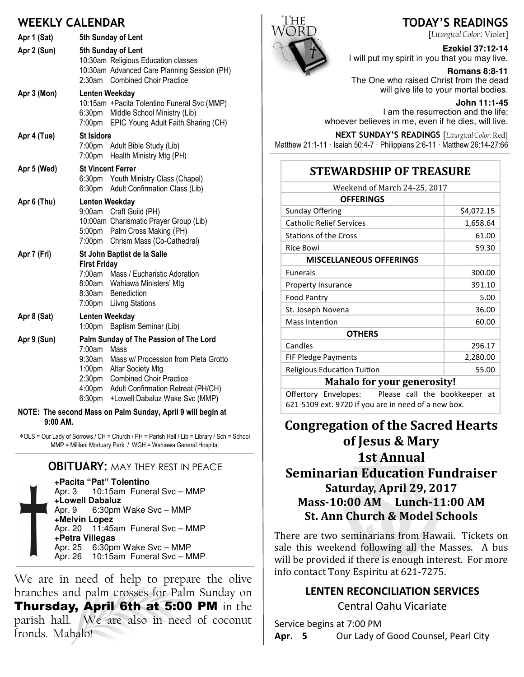### WEEKIV CALENDAR

|                                                             | WEENEI CALLIVAIN                                                                                                                                                                                                                                                                                                      |  |
|-------------------------------------------------------------|-----------------------------------------------------------------------------------------------------------------------------------------------------------------------------------------------------------------------------------------------------------------------------------------------------------------------|--|
| Apr 1 (Sat)                                                 | 5th Sunday of Lent                                                                                                                                                                                                                                                                                                    |  |
| Apr 2 (Sun)                                                 | 5th Sunday of Lent<br>10:30am Religious Education classes<br>10:30am Advanced Care Planning Session (PH)<br>2:30am Combined Choir Practice                                                                                                                                                                            |  |
| Apr 3 (Mon)                                                 | Lenten Weekday<br>10:15am + Pacita Tolentino Funeral Svc (MMP)<br>6:30pm Middle School Ministry (Lib)<br>EPIC Young Adult Faith Sharing (CH)<br>7:00pm                                                                                                                                                                |  |
| Apr 4 (Tue)                                                 | <b>St Isidore</b><br>7:00pm Adult Bible Study (Lib)<br>7:00pm Health Ministry Mtg (PH)                                                                                                                                                                                                                                |  |
| Apr 5 (Wed)                                                 | <b>St Vincent Ferrer</b><br>6:30pm Youth Ministry Class (Chapel)<br>Adult Confirmation Class (Lib)<br>6:30pm                                                                                                                                                                                                          |  |
| Apr 6 (Thu)                                                 | Lenten Weekday<br>9:00am Craft Guild (PH)<br>10:00am Charismatic Prayer Group (Lib)<br>5:00pm Palm Cross Making (PH)<br>Chrism Mass (Co-Cathedral)<br>7:00pm                                                                                                                                                          |  |
| Apr 7 (Fri)                                                 | St John Baptist de la Salle<br><b>First Friday</b><br>7:00am Mass / Eucharistic Adoration<br>8:00am Wahiawa Ministers' Mtg<br>8:30am<br>Benediction<br>7:00pm<br><b>Liivng Stations</b>                                                                                                                               |  |
| Apr 8 (Sat)                                                 | Lenten Weekday<br>1:00 <sub>pm</sub><br>Baptism Seminar (Lib)                                                                                                                                                                                                                                                         |  |
| Apr 9 (Sun)                                                 | Palm Sunday of The Passion of The Lord<br>7:00am<br>Mass<br>9:30am<br>Mass w/ Procession from Pieta Grotto<br>1:00 <sub>pm</sub><br>Altar Society Mtg<br>2:30pm<br><b>Combined Choir Practice</b><br>4:00 <sub>pm</sub><br>Adult Confirmation Retreat (PH/CH)<br>6:30 <sub>pm</sub><br>+Lowell Dabaluz Wake Svc (MMP) |  |
| NOTE: The second Mass on Palm Sunday, April 9 will begin at |                                                                                                                                                                                                                                                                                                                       |  |

9:00 AM.

∗OLS = Our Lady of Sorrows / CH = Church / PH = Parish Hall / Lib = Library / Sch = School MMP = Mililani Mortuary Park / WGH = Wahiawa General Hospital

### **OBITUARY: MAY THEY REST IN PEACE**

**+Pacita "Pat" Tolentino** Apr. 3 10:15am Funeral Svc – MMP **+Lowell Dabaluz** Apr. 9 6:30pm Wake Svc – MMP **+Melvin Lopez** Apr. 20 11:45am Funeral Svc – MMP **+Petra Villegas** Apr. 25 6:30pm Wake Svc – MMP<br>Apr. 26 10:15am Funeral Svc – M 10:15am Funeral Svc – MMP

We are in need of help to prepare the olive branches and palm crosses for Palm Sunday on Thursday, April 6th at 5:00 PM in the parish hall. We are also in need of coconut fronds. Mahalo!



# TODAY'S READINGS

[Liturgical Color: Violet]

**Ezekiel 37:12-14**  I will put my spirit in you that you may live.

**Romans 8:8-11**  The One who raised Christ from the dead will give life to your mortal bodies.

**John 11:1-45**  I am the resurrection and the life; whoever believes in me, even if he dies, will live.

NEXT SUNDAY'S READINGS [Liturgical Color: Red] Matthew 21:1-11 · Isaiah 50:4-7 · Philippians 2:6-11 · Matthew 26:14-27:66

### STEWARDSHIP OF TREASURE

| Weekend of March 24-25, 2017       |            |  |
|------------------------------------|------------|--|
| <b>OFFERINGS</b>                   |            |  |
| Sunday Offering                    | \$4,072.15 |  |
| <b>Catholic Relief Services</b>    | 1,658.64   |  |
| <b>Stations of the Cross</b>       | 61.00      |  |
| <b>Rice Bowl</b>                   | 59.30      |  |
| <b>MISCELLANEOUS OFFERINGS</b>     |            |  |
| <b>Funerals</b>                    | 300.00     |  |
| <b>Property Insurance</b>          | 391.10     |  |
| <b>Food Pantry</b>                 | 5.00       |  |
| St. Joseph Novena                  | 36.00      |  |
| Mass Intention                     | 60.00      |  |
| <b>OTHERS</b>                      |            |  |
| Candles                            | 296.17     |  |
| FIF Pledge Payments                | 2,280.00   |  |
| <b>Religious Education Tuition</b> | 55.00      |  |
| <b>Mahalo for your generosity!</b> |            |  |

Offertory Envelopes: Please call the bookkeeper at 621-5109 ext. 9720 if you are in need of a new box.

# Congregation of the Sacred Hearts of Jesus & Mary 1st Annual **Seminarian Education Fundraiser** Saturday, April 29, 2017 Mass-10:00 AM Lunch-11:00 AM St. Ann Church & Model Schools

There are two seminarians from Hawaii. Tickets on sale this weekend following all the Masses. A bus will be provided if there is enough interest. For more info contact Tony Espiritu at 621-7275.

### LENTEN RECONCILIATION SERVICES

Central Oahu Vicariate

Service begins at 7:00 PM Apr. 5 Our Lady of Good Counsel, Pearl City